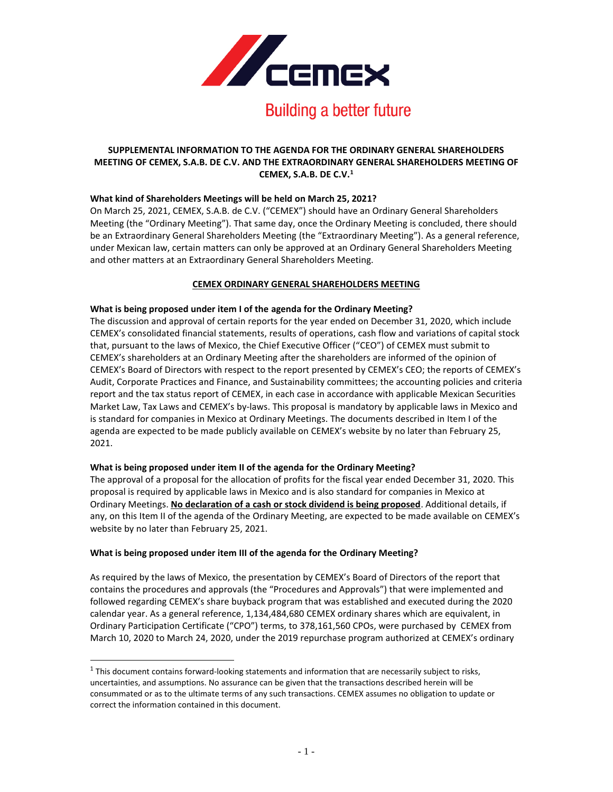

# **SUPPLEMENTAL INFORMATION TO THE AGENDA FOR THE ORDINARY GENERAL SHAREHOLDERS MEETING OF CEMEX, S.A.B. DE C.V. AND THE EXTRAORDINARY GENERAL SHAREHOLDERS MEETING OF CEMEX, S.A.B. DE C.V.<sup>1</sup>**

# **What kind of Shareholders Meetings will be held on March 25, 2021?**

On March 25, 2021, CEMEX, S.A.B. de C.V. ("CEMEX") should have an Ordinary General Shareholders Meeting (the "Ordinary Meeting"). That same day, once the Ordinary Meeting is concluded, there should be an Extraordinary General Shareholders Meeting (the "Extraordinary Meeting"). As a general reference, under Mexican law, certain matters can only be approved at an Ordinary General Shareholders Meeting and other matters at an Extraordinary General Shareholders Meeting.

# **CEMEX ORDINARY GENERAL SHAREHOLDERS MEETING**

# **What is being proposed under item I of the agenda for the Ordinary Meeting?**

The discussion and approval of certain reports for the year ended on December 31, 2020, which include CEMEX's consolidated financial statements, results of operations, cash flow and variations of capital stock that, pursuant to the laws of Mexico, the Chief Executive Officer ("CEO") of CEMEX must submit to CEMEX's shareholders at an Ordinary Meeting after the shareholders are informed of the opinion of CEMEX's Board of Directors with respect to the report presented by CEMEX's CEO; the reports of CEMEX's Audit, Corporate Practices and Finance, and Sustainability committees; the accounting policies and criteria report and the tax status report of CEMEX, in each case in accordance with applicable Mexican Securities Market Law, Tax Laws and CEMEX's by-laws. This proposal is mandatory by applicable laws in Mexico and is standard for companies in Mexico at Ordinary Meetings. The documents described in Item I of the agenda are expected to be made publicly available on CEMEX's website by no later than February 25, 2021.

# **What is being proposed under item II of the agenda for the Ordinary Meeting?**

The approval of a proposal for the allocation of profits for the fiscal year ended December 31, 2020. This proposal is required by applicable laws in Mexico and is also standard for companies in Mexico at Ordinary Meetings. **No declaration of a cash or stock dividend is being proposed**. Additional details, if any, on this Item II of the agenda of the Ordinary Meeting, are expected to be made available on CEMEX's website by no later than February 25, 2021.

# **What is being proposed under item III of the agenda for the Ordinary Meeting?**

As required by the laws of Mexico, the presentation by CEMEX's Board of Directors of the report that contains the procedures and approvals (the "Procedures and Approvals") that were implemented and followed regarding CEMEX's share buyback program that was established and executed during the 2020 calendar year. As a general reference, 1,134,484,680 CEMEX ordinary shares which are equivalent, in Ordinary Participation Certificate ("CPO") terms, to 378,161,560 CPOs, were purchased by CEMEX from March 10, 2020 to March 24, 2020, under the 2019 repurchase program authorized at CEMEX's ordinary

 $<sup>1</sup>$  This document contains forward-looking statements and information that are necessarily subject to risks,</sup> uncertainties, and assumptions. No assurance can be given that the transactions described herein will be consummated or as to the ultimate terms of any such transactions. CEMEX assumes no obligation to update or correct the information contained in this document.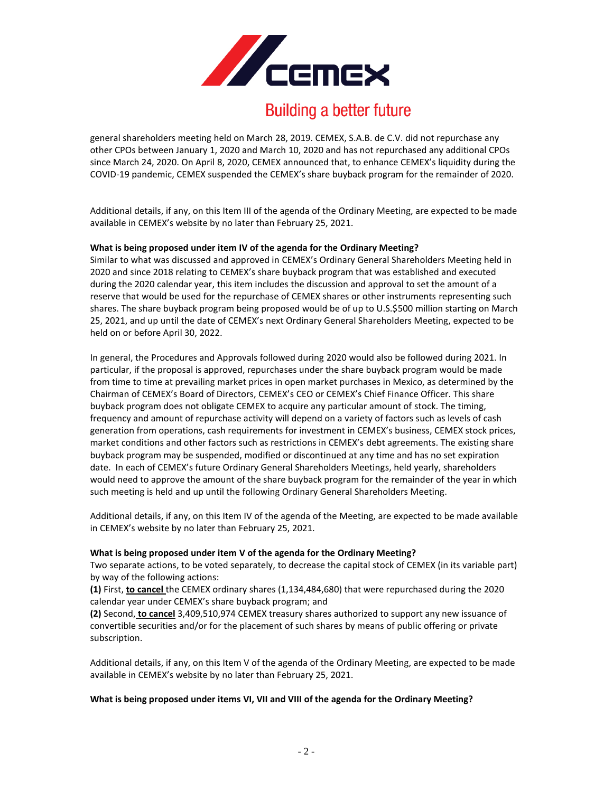

# **Building a better future**

general shareholders meeting held on March 28, 2019. CEMEX, S.A.B. de C.V. did not repurchase any other CPOs between January 1, 2020 and March 10, 2020 and has not repurchased any additional CPOs since March 24, 2020. On April 8, 2020, CEMEX announced that, to enhance CEMEX's liquidity during the COVID-19 pandemic, CEMEX suspended the CEMEX's share buyback program for the remainder of 2020.

Additional details, if any, on this Item III of the agenda of the Ordinary Meeting, are expected to be made available in CEMEX's website by no later than February 25, 2021.

# **What is being proposed under item IV of the agenda for the Ordinary Meeting?**

Similar to what was discussed and approved in CEMEX's Ordinary General Shareholders Meeting held in 2020 and since 2018 relating to CEMEX's share buyback program that was established and executed during the 2020 calendar year, this item includes the discussion and approval to set the amount of a reserve that would be used for the repurchase of CEMEX shares or other instruments representing such shares. The share buyback program being proposed would be of up to U.S.\$500 million starting on March 25, 2021, and up until the date of CEMEX's next Ordinary General Shareholders Meeting, expected to be held on or before April 30, 2022.

In general, the Procedures and Approvals followed during 2020 would also be followed during 2021. In particular, if the proposal is approved, repurchases under the share buyback program would be made from time to time at prevailing market prices in open market purchases in Mexico, as determined by the Chairman of CEMEX's Board of Directors, CEMEX's CEO or CEMEX's Chief Finance Officer. This share buyback program does not obligate CEMEX to acquire any particular amount of stock. The timing, frequency and amount of repurchase activity will depend on a variety of factors such as levels of cash generation from operations, cash requirements for investment in CEMEX's business, CEMEX stock prices, market conditions and other factors such as restrictions in CEMEX's debt agreements. The existing share buyback program may be suspended, modified or discontinued at any time and has no set expiration date. In each of CEMEX's future Ordinary General Shareholders Meetings, held yearly, shareholders would need to approve the amount of the share buyback program for the remainder of the year in which such meeting is held and up until the following Ordinary General Shareholders Meeting.

Additional details, if any, on this Item IV of the agenda of the Meeting, are expected to be made available in CEMEX's website by no later than February 25, 2021.

#### **What is being proposed under item V of the agenda for the Ordinary Meeting?**

Two separate actions, to be voted separately, to decrease the capital stock of CEMEX (in its variable part) by way of the following actions:

**(1)** First, **to cancel** the CEMEX ordinary shares (1,134,484,680) that were repurchased during the 2020 calendar year under CEMEX's share buyback program; and

**(2)** Second, **to cancel** 3,409,510,974 CEMEX treasury shares authorized to support any new issuance of convertible securities and/or for the placement of such shares by means of public offering or private subscription.

Additional details, if any, on this Item V of the agenda of the Ordinary Meeting, are expected to be made available in CEMEX's website by no later than February 25, 2021.

#### **What is being proposed under items VI, VII and VIII of the agenda for the Ordinary Meeting?**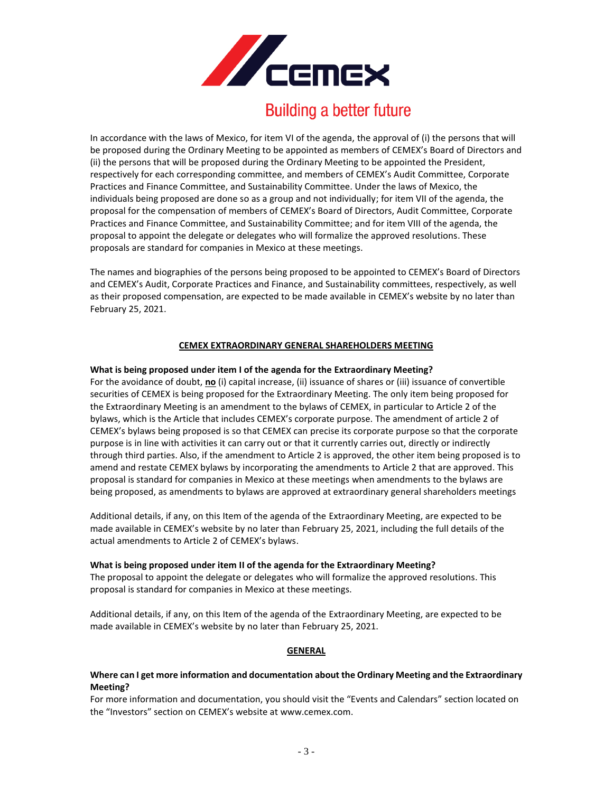

# **Building a better future**

In accordance with the laws of Mexico, for item VI of the agenda, the approval of (i) the persons that will be proposed during the Ordinary Meeting to be appointed as members of CEMEX's Board of Directors and (ii) the persons that will be proposed during the Ordinary Meeting to be appointed the President, respectively for each corresponding committee, and members of CEMEX's Audit Committee, Corporate Practices and Finance Committee, and Sustainability Committee. Under the laws of Mexico, the individuals being proposed are done so as a group and not individually; for item VII of the agenda, the proposal for the compensation of members of CEMEX's Board of Directors, Audit Committee, Corporate Practices and Finance Committee, and Sustainability Committee; and for item VIII of the agenda, the proposal to appoint the delegate or delegates who will formalize the approved resolutions. These proposals are standard for companies in Mexico at these meetings.

The names and biographies of the persons being proposed to be appointed to CEMEX's Board of Directors and CEMEX's Audit, Corporate Practices and Finance, and Sustainability committees, respectively, as well as their proposed compensation, are expected to be made available in CEMEX's website by no later than February 25, 2021.

# **CEMEX EXTRAORDINARY GENERAL SHAREHOLDERS MEETING**

# **What is being proposed under item I of the agenda for the Extraordinary Meeting?**

For the avoidance of doubt, **no** (i) capital increase, (ii) issuance of shares or (iii) issuance of convertible securities of CEMEX is being proposed for the Extraordinary Meeting. The only item being proposed for the Extraordinary Meeting is an amendment to the bylaws of CEMEX, in particular to Article 2 of the bylaws, which is the Article that includes CEMEX's corporate purpose. The amendment of article 2 of CEMEX's bylaws being proposed is so that CEMEX can precise its corporate purpose so that the corporate purpose is in line with activities it can carry out or that it currently carries out, directly or indirectly through third parties. Also, if the amendment to Article 2 is approved, the other item being proposed is to amend and restate CEMEX bylaws by incorporating the amendments to Article 2 that are approved. This proposal is standard for companies in Mexico at these meetings when amendments to the bylaws are being proposed, as amendments to bylaws are approved at extraordinary general shareholders meetings

Additional details, if any, on this Item of the agenda of the Extraordinary Meeting, are expected to be made available in CEMEX's website by no later than February 25, 2021, including the full details of the actual amendments to Article 2 of CEMEX's bylaws.

#### **What is being proposed under item II of the agenda for the Extraordinary Meeting?**

The proposal to appoint the delegate or delegates who will formalize the approved resolutions. This proposal is standard for companies in Mexico at these meetings.

Additional details, if any, on this Item of the agenda of the Extraordinary Meeting, are expected to be made available in CEMEX's website by no later than February 25, 2021.

# **GENERAL**

# **Where can I get more information and documentation about the Ordinary Meeting and the Extraordinary Meeting?**

For more information and documentation, you should visit the "Events and Calendars" section located on the "Investors" section on CEMEX's website at [www.cemex.com.](http://www.cemex.com/)